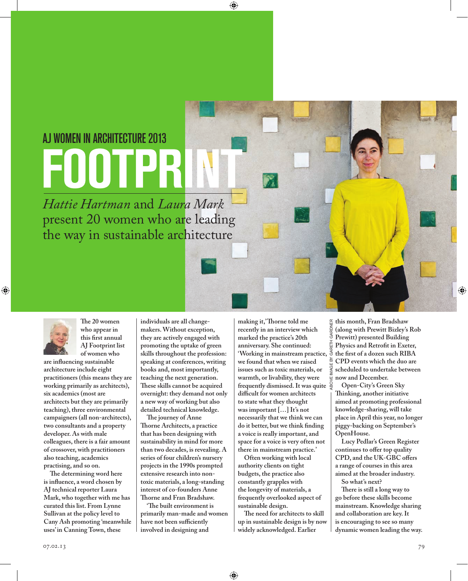## AJ women in Architecture 2013

*Hattie Hartman* and *Laura Mark* present 20 women who are leading the way in sustainable architecture



**The 20 women who appear in this first annual AJ Footprint list of women who** 

**are influencing sustainable architecture include eight practitioners (this means they are working primarily as architects), six academics (most are architects but they are primarily teaching), three environmental campaigners (all non-architects), two consultants and a property developer. As with male colleagues, there is a fair amount of crossover, with practitioners also teaching, academics practising, and so on.** 

**The determining word here is influence, a word chosen by AJ technical reporter Laura Mark, who together with me has curated this list. From Lynne Sullivan at the policy level to Cany Ash promoting 'meanwhile uses' in Canning Town, these** 

**individuals are all changemakers. Without exception, they are actively engaged with promoting the uptake of green skills throughout the profession: speaking at conferences, writing books and, most importantly, teaching the next generation. These skills cannot be acquired overnight: they demand not only a new way of working but also detailed technical knowledge.** 

 $\bigcirc$ 

**The journey of Anne Thorne Architects, a practice that has been designing with sustainability in mind for more than two decades, is revealing. A series of four children's nursery projects in the 1990s prompted extensive research into nontoxic materials, a long-standing interest of co-founders Anne Thorne and Fran Bradshaw.** 

**'The built environment is primarily man-made and women have not been sufficiently involved in designing and** 

**making it,' Thorne told me recently in an interview which marked the practice's 20th anniversary. She continued: 'Working in mainstream practice, we found that when we raised issues such as toxic materials, or warmth, or livability, they were frequently dismissed. It was quite difficult for women architects to state what they thought was important […] It's not necessarily that we think we can do it better, but we think finding a voice is really important, and space for a voice is very often not there in mainstream practice.'**

**Often working with local authority clients on tight budgets, the practice also constantly grapples with the longevity of materials, a frequently overlooked aspect of sustainable design.** 

**The need for architects to skill up in sustainable design is by now widely acknowledged. Earlier** 

⊕

**this month, Fran Bradshaw (along with Prewitt Bizley's Rob Prewitt) presented Building Physics and Retrofit in Exeter, the first of a dozen such RIBA CPD events which the duo are scheduled to undertake between now and December.** 

above image by gareth gardner

**Open-City's Green Sky Thinking, another initiative aimed at promoting professional knowledge-sharing, will take place in April this year, no longer piggy-backing on September's OpenHouse.** 

**Lucy Pedlar's Green Register continues to offer top quality CPD, and the UK-GBC offers a range of courses in this area aimed at the broader industry. So what's next?** 

**There is still a long way to go before these skills become mainstream. Knowledge sharing and collaboration are key. It is encouraging to see so many dynamic women leading the way.**

◈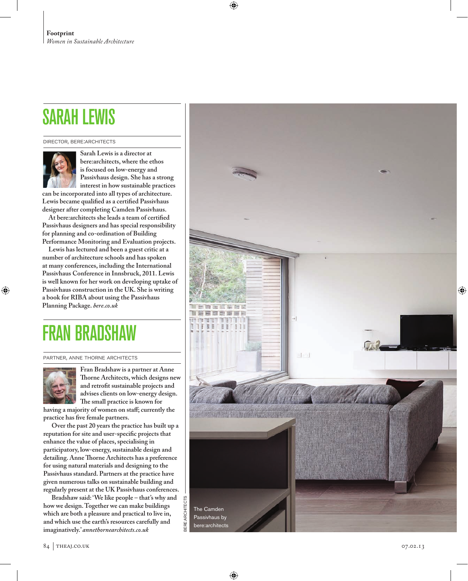## sarah lewis

director, bere:architects



**Sarah Lewis is a director at bere:architects, where the ethos is focused on low-energy and Passivhaus design. She has a strong interest in how sustainable practices** 

**can be incorporated into all types of architecture. Lewis became qualified as a certified Passivhaus designer after completing Camden Passivhaus.** 

**At bere:architects she leads a team of certified Passivhaus designers and has special responsibility for planning and co-ordination of Building Performance Monitoring and Evaluation projects.**

**Lewis has lectured and been a guest critic at a number of architecture schools and has spoken at many conferences, including the International Passivhaus Conference in Innsbruck, 2011. Lewis is well known for her work on developing uptake of Passivhaus construction in the UK. She is writing a book for RIBA about using the Passivhaus Planning Package.** *bere.co.uk*

## **BR**

partner, anne thorne architects



◈

**Fran Bradshaw is a partner at Anne Thorne Architects, which designs new and retrofit sustainable projects and advises clients on low-energy design. The small practice is known for** 

**having a majority of women on staff; currently the practice has five female partners.** 

**Over the past 20 years the practice has built up a reputation for site and user-specific projects that enhance the value of places, specialising in participatory, low-energy, sustainable design and detailing. Anne Thorne Architects has a preference for using natural materials and designing to the Passivhaus standard. Partners at the practice have given numerous talks on sustainable building and regularly present at the UK Passivhaus conferences.**

**Bradshaw said: 'We like people – that's why and how we design. Together we can make buildings which are both a pleasure and practical to live in, and which use the earth's resources carefully and imaginatively.'** *annethornearchitects.co.uk*



€

⊕